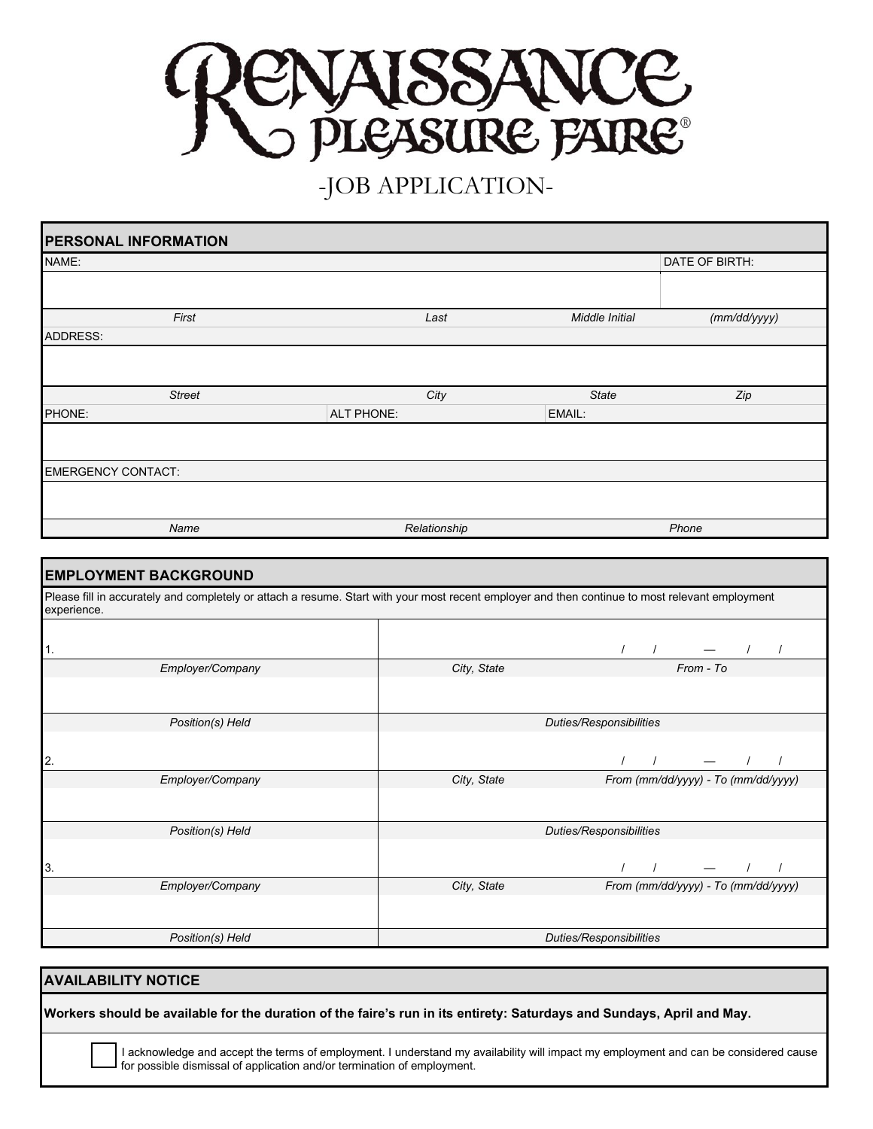

## -JOB APPLICATION-

| <b>PERSONAL INFORMATION</b>                                                                                                                                    |  |                         |                         |                                                                        |  |  |
|----------------------------------------------------------------------------------------------------------------------------------------------------------------|--|-------------------------|-------------------------|------------------------------------------------------------------------|--|--|
| NAME:                                                                                                                                                          |  |                         |                         | DATE OF BIRTH:                                                         |  |  |
|                                                                                                                                                                |  |                         |                         |                                                                        |  |  |
| First                                                                                                                                                          |  | Last                    | Middle Initial          | (mm/dd/yyyy)                                                           |  |  |
| ADDRESS:                                                                                                                                                       |  |                         |                         |                                                                        |  |  |
|                                                                                                                                                                |  |                         |                         |                                                                        |  |  |
| <b>Street</b>                                                                                                                                                  |  | City                    | <b>State</b>            | Zip                                                                    |  |  |
| PHONE:                                                                                                                                                         |  | ALT PHONE:              |                         |                                                                        |  |  |
|                                                                                                                                                                |  |                         |                         |                                                                        |  |  |
| <b>EMERGENCY CONTACT:</b>                                                                                                                                      |  |                         |                         |                                                                        |  |  |
|                                                                                                                                                                |  |                         |                         |                                                                        |  |  |
| Name                                                                                                                                                           |  | Relationship            |                         | Phone                                                                  |  |  |
|                                                                                                                                                                |  |                         |                         |                                                                        |  |  |
| <b>EMPLOYMENT BACKGROUND</b>                                                                                                                                   |  |                         |                         |                                                                        |  |  |
| Please fill in accurately and completely or attach a resume. Start with your most recent employer and then continue to most relevant employment<br>experience. |  |                         |                         |                                                                        |  |  |
| 1.                                                                                                                                                             |  |                         |                         | $\frac{1}{1}$ $\frac{1}{1}$ $\frac{1}{1}$ $\frac{1}{1}$                |  |  |
| Employer/Company                                                                                                                                               |  | City, State             |                         |                                                                        |  |  |
|                                                                                                                                                                |  |                         |                         |                                                                        |  |  |
| Position(s) Held                                                                                                                                               |  | Duties/Responsibilities |                         |                                                                        |  |  |
| 2.                                                                                                                                                             |  |                         |                         | $\begin{array}{cccccccccc} I & & I & & - & & I & & I \end{array}$      |  |  |
| Employer/Company                                                                                                                                               |  | City, State             |                         | From (mm/dd/yyyy) - To (mm/dd/yyyy)                                    |  |  |
|                                                                                                                                                                |  |                         |                         |                                                                        |  |  |
| Position(s) Held                                                                                                                                               |  |                         | Duties/Responsibilities |                                                                        |  |  |
| 3.                                                                                                                                                             |  |                         |                         | $\begin{array}{ccccccccccccc} I & & I & & & - & & I & & I \end{array}$ |  |  |
| Employer/Company                                                                                                                                               |  | City, State             |                         | From (mm/dd/yyyy) - To (mm/dd/yyyy)                                    |  |  |
|                                                                                                                                                                |  |                         |                         |                                                                        |  |  |
| Position(s) Held                                                                                                                                               |  |                         | Duties/Responsibilities |                                                                        |  |  |

## **AVAILABILITY NOTICE**

**Workers should be available for the duration of the faire's run in its entirety: Saturdays and Sundays, April and May.**

□ I acknowledge and accept the terms of employment. I understand my availability will impact my employment and can be considered cause for possible dismissal of application and/or termination of employment.